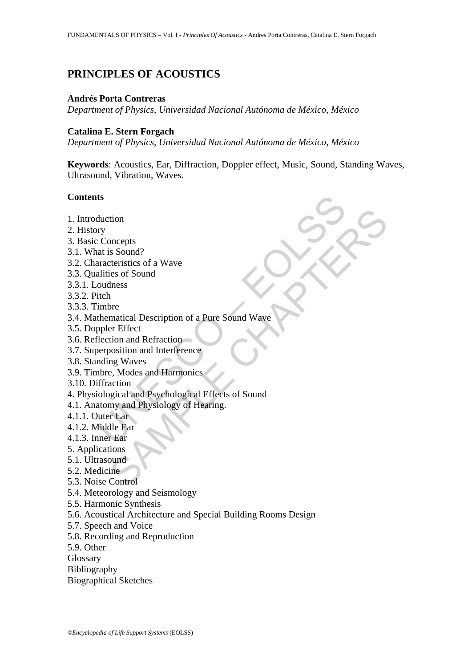# **PRINCIPLES OF ACOUSTICS**

#### **Andrés Porta Contreras**

*Department of Physics, Universidad Nacional Autónoma de México, México* 

### **Catalina E. Stern Forgach**

*Department of Physics, Universidad Nacional Autónoma de México, México* 

**Keywords**: Acoustics, Ear, Diffraction, Doppler effect, Music, Sound, Standing Waves, Ultrasound, Vibration, Waves.

#### **Contents**

- 1. Introduction
- 2. History
- 3. Basic Concepts
- 3.1. What is Sound?
- 3.2. Characteristics of a Wave
- 3.3. Qualities of Sound
- 3.3.1. Loudness
- 3.3.2. Pitch
- 3.3.3. Timbre
- 3.4. Mathematical Description of a Pure Sound Wave
- 3.5. Doppler Effect
- 3.6. Reflection and Refraction
- 3.7. Superposition and Interference
- 3.8. Standing Waves
- 3.9. Timbre, Modes and Harmonics
- 3.10. Diffraction
- ts<br>
duction<br>
ry<br>
c Concepts<br>
at is Sound?<br>
aracteristics of a Wave<br>
at is Sound<br>
outhes<br>
tich<br>
imbre<br>
thematical Description of a Pure Sound Wave<br>
ppler Effect<br>
election and Refraction<br>
and Interference<br>
ending Waves<br>
outh SAMPLE CHAPTERS 4. Physiological and Psychological Effects of Sound
- 4.1. Anatomy and Physiology of Hearing.
- 4.1.1. Outer Ear
- 4.1.2. Middle Ear
- 4.1.3. Inner Ear
- 5. Applications
- 5.1. Ultrasound
- 5.2. Medicine
- 5.3. Noise Control
- 5.4. Meteorology and Seismology
- 5.5. Harmonic Synthesis
- 5.6. Acoustical Architecture and Special Building Rooms Design
- 5.7. Speech and Voice
- 5.8. Recording and Reproduction
- 5.9. Other
- **Glossary**
- Bibliography
- Biographical Sketches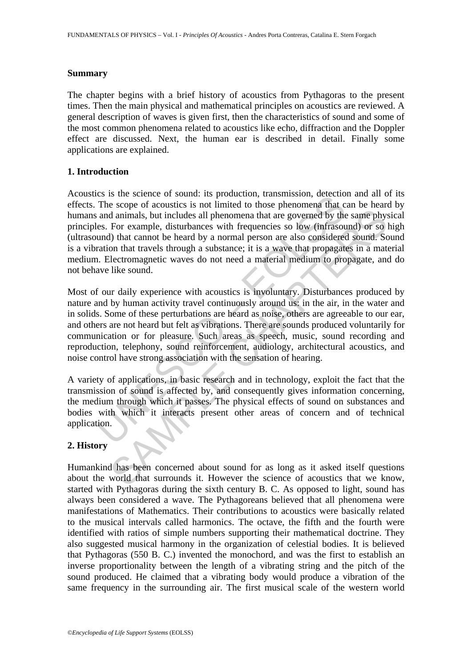### **Summary**

The chapter begins with a brief history of acoustics from Pythagoras to the present times. Then the main physical and mathematical principles on acoustics are reviewed. A general description of waves is given first, then the characteristics of sound and some of the most common phenomena related to acoustics like echo, diffraction and the Doppler effect are discussed. Next, the human ear is described in detail. Finally some applications are explained.

# **1. Introduction**

Es is the science of solution, transmission, tracerulo and the scope of acordinal and animals, but includes all phenomena that are governed by the sets. For example, disturbances with frequencies so low (infrasoural) that Acoustics is the science of sound: its production, transmission, detection and all of its effects. The scope of acoustics is not limited to those phenomena that can be heard by humans and animals, but includes all phenomena that are governed by the same physical principles. For example, disturbances with frequencies so low (infrasound) or so high (ultrasound) that cannot be heard by a normal person are also considered sound. Sound is a vibration that travels through a substance; it is a wave that propagates in a material medium. Electromagnetic waves do not need a material medium to propagate, and do not behave like sound.

denimals, but includes all phenomena that are governed by the same physometric and animals, but includes all phenomena that are governed by the same physometric sorp. (For example, disturbances with frequencies so low (inf Most of our daily experience with acoustics is involuntary. Disturbances produced by nature and by human activity travel continuously around us: in the air, in the water and in solids. Some of these perturbations are heard as noise, others are agreeable to our ear, and others are not heard but felt as vibrations. There are sounds produced voluntarily for communication or for pleasure. Such areas as speech, music, sound recording and reproduction, telephony, sound reinforcement, audiology, architectural acoustics, and noise control have strong association with the sensation of hearing.

A variety of applications, in basic research and in technology, exploit the fact that the transmission of sound is affected by, and consequently gives information concerning, the medium through which it passes. The physical effects of sound on substances and bodies with which it interacts present other areas of concern and of technical application.

# **2. History**

Humankind has been concerned about sound for as long as it asked itself questions about the world that surrounds it. However the science of acoustics that we know, started with Pythagoras during the sixth century B. C. As opposed to light, sound has always been considered a wave. The Pythagoreans believed that all phenomena were manifestations of Mathematics. Their contributions to acoustics were basically related to the musical intervals called harmonics. The octave, the fifth and the fourth were identified with ratios of simple numbers supporting their mathematical doctrine. They also suggested musical harmony in the organization of celestial bodies. It is believed that Pythagoras (550 B. C.) invented the monochord, and was the first to establish an inverse proportionality between the length of a vibrating string and the pitch of the sound produced. He claimed that a vibrating body would produce a vibration of the same frequency in the surrounding air. The first musical scale of the western world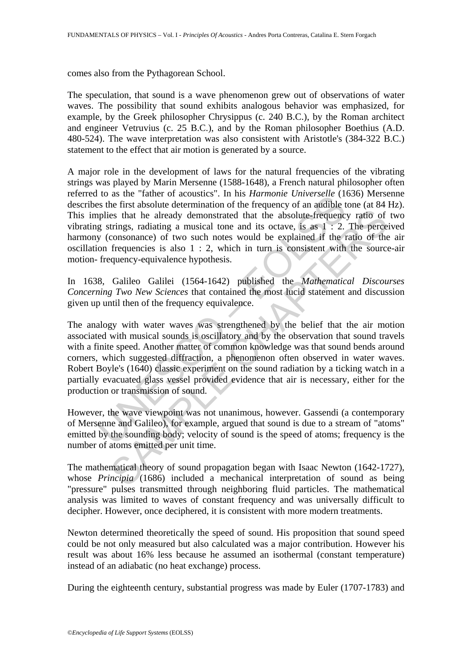comes also from the Pythagorean School.

The speculation, that sound is a wave phenomenon grew out of observations of water waves. The possibility that sound exhibits analogous behavior was emphasized, for example, by the Greek philosopher Chrysippus (c. 240 B.C.), by the Roman architect and engineer Vetruvius (c. 25 B.C.), and by the Roman philosopher Boethius (A.D. 480-524). The wave interpretation was also consistent with Aristotle's (384-322 B.C.) statement to the effect that air motion is generated by a source.

A major role in the development of laws for the natural frequencies of the vibrating strings was played by Marin Mersenne (1588-1648), a French natural philosopher often referred to as the "father of acoustics". In his *Harmonie Universelle* (1636) Mersenne describes the first absolute determination of the frequency of an audible tone (at 84 Hz). This implies that he already demonstrated that the absolute-frequency ratio of two vibrating strings, radiating a musical tone and its octave, is as 1 : 2. The perceived harmony (consonance) of two such notes would be explained if the ratio of the air oscillation frequencies is also 1 : 2, which in turn is consistent with the source-air motion- frequency-equivalence hypothesis.

In 1638, Galileo Galilei (1564-1642) published the *Mathematical Discourses Concerning Two New Sciences* that contained the most lucid statement and discussion given up until then of the frequency equivalence.

For a time and calculate of accustos. In ins *Hammonic Universide* (1)<br>is the first absolute determination of the frequency of an audible public splits that he already demonstrated that the absolute-frequency<br>g strings, r is that he already demonstrated that the absolute-frequency ratio of trings, radiating a musical tone and its octave, is as  $1 : 2$ . The perce consonance) of two such notes would be explained if the ratio of the frequency-The analogy with water waves was strengthened by the belief that the air motion associated with musical sounds is oscillatory and by the observation that sound travels with a finite speed. Another matter of common knowledge was that sound bends around corners, which suggested diffraction, a phenomenon often observed in water waves. Robert Boyle's (1640) classic experiment on the sound radiation by a ticking watch in a partially evacuated glass vessel provided evidence that air is necessary, either for the production or transmission of sound.

However, the wave viewpoint was not unanimous, however. Gassendi (a contemporary of Mersenne and Galileo), for example, argued that sound is due to a stream of "atoms" emitted by the sounding body; velocity of sound is the speed of atoms; frequency is the number of atoms emitted per unit time.

The mathematical theory of sound propagation began with Isaac Newton (1642-1727), whose *Principia* (1686) included a mechanical interpretation of sound as being "pressure" pulses transmitted through neighboring fluid particles. The mathematical analysis was limited to waves of constant frequency and was universally difficult to decipher. However, once deciphered, it is consistent with more modern treatments.

Newton determined theoretically the speed of sound. His proposition that sound speed could be not only measured but also calculated was a major contribution. However his result was about 16% less because he assumed an isothermal (constant temperature) instead of an adiabatic (no heat exchange) process.

During the eighteenth century, substantial progress was made by Euler (1707-1783) and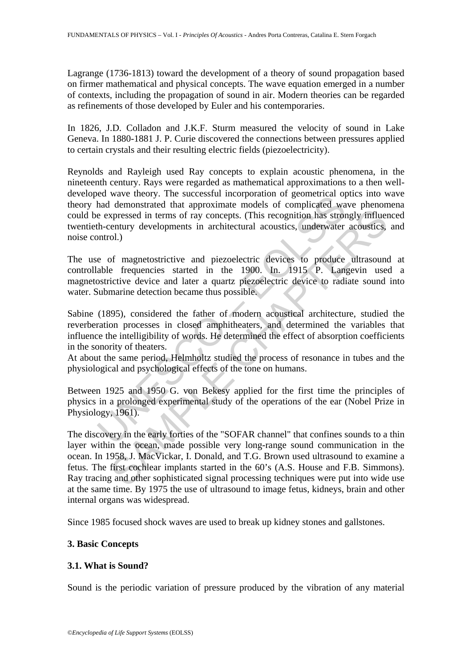Lagrange (1736-1813) toward the development of a theory of sound propagation based on firmer mathematical and physical concepts. The wave equation emerged in a number of contexts, including the propagation of sound in air. Modern theories can be regarded as refinements of those developed by Euler and his contemporaries.

In 1826, J.D. Colladon and J.K.F. Sturm measured the velocity of sound in Lake Geneva. In 1880-1881 J. P. Curie discovered the connections between pressures applied to certain crystals and their resulting electric fields (piezoelectricity).

From the method of complicated by the successivil incorporation of geometrical operation<br>and demonstrated that approximate models of complicated was expressed in terms of ray concepts. (This recognition has stron-<br>th-centu Reynolds and Rayleigh used Ray concepts to explain acoustic phenomena, in the nineteenth century. Rays were regarded as mathematical approximations to a then welldeveloped wave theory. The successful incorporation of geometrical optics into wave theory had demonstrated that approximate models of complicated wave phenomena could be expressed in terms of ray concepts. (This recognition has strongly influenced twentieth-century developments in architectural acoustics, underwater acoustics, and noise control.)

The use of magnetostrictive and piezoelectric devices to produce ultrasound at controllable frequencies started in the 1900. In. 1915 P. Langevin used a magnetostrictive device and later a quartz piezoelectric device to radiate sound into water. Submarine detection became thus possible.

Sabine (1895), considered the father of modern acoustical architecture, studied the reverberation processes in closed amphitheaters, and determined the variables that influence the intelligibility of words. He determined the effect of absorption coefficients in the sonority of theaters.

At about the same period, Helmholtz studied the process of resonance in tubes and the physiological and psychological effects of the tone on humans.

Between 1925 and 1950 G. von Bekesy applied for the first time the principles of physics in a prolonged experimental study of the operations of the ear (Nobel Prize in Physiology, 1961).

repressed in terms of ray concepts. (This recognition has strongly influentury developments in architectural acoustics, underwater acoustics, ol.)<br>
of magnetostrictive and piezoelectric devices to produce ultrasound<br>
of ma The discovery in the early forties of the "SOFAR channel" that confines sounds to a thin layer within the ocean, made possible very long-range sound communication in the ocean. In 1958, J. MacVickar, I. Donald, and T.G. Brown used ultrasound to examine a fetus. The first cochlear implants started in the 60's (A.S. House and F.B. Simmons). Ray tracing and other sophisticated signal processing techniques were put into wide use at the same time. By 1975 the use of ultrasound to image fetus, kidneys, brain and other internal organs was widespread.

Since 1985 focused shock waves are used to break up kidney stones and gallstones.

# **3. Basic Concepts**

# **3.1. What is Sound?**

Sound is the periodic variation of pressure produced by the vibration of any material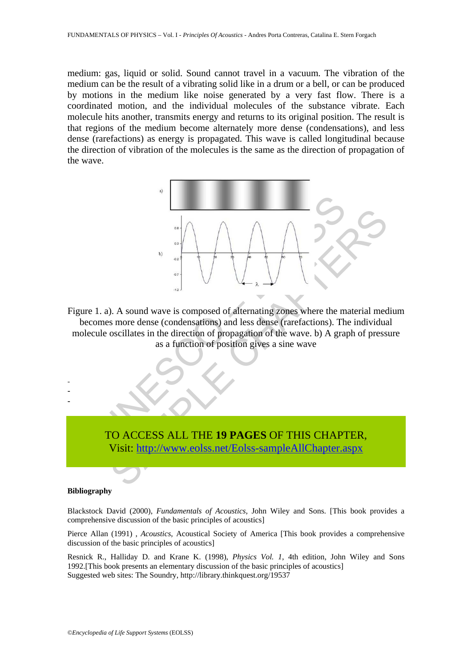medium: gas, liquid or solid. Sound cannot travel in a vacuum. The vibration of the medium can be the result of a vibrating solid like in a drum or a bell, or can be produced by motions in the medium like noise generated by a very fast flow. There is a coordinated motion, and the individual molecules of the substance vibrate. Each molecule hits another, transmits energy and returns to its original position. The result is that regions of the medium become alternately more dense (condensations), and less dense (rarefactions) as energy is propagated. This wave is called longitudinal because the direction of vibration of the molecules is the same as the direction of propagation of the wave.



Figure 1. a). A sound wave is composed of alternating zones where the material medium becomes more dense (condensations) and less dense (rarefactions). The individual molecule oscillates in the direction of propagation of the wave. b) A graph of pressure as a function of position gives a sine wave



#### **Bibliography**

- - -

Blackstock David (2000), *Fundamentals of Acoustics*, John Wiley and Sons. [This book provides a comprehensive discussion of the basic principles of acoustics]

Pierce Allan (1991) , *Acoustics*, Acoustical Society of America [This book provides a comprehensive discussion of the basic principles of acoustics]

Resnick R., Halliday D. and Krane K. (1998), *Physics Vol. 1*, 4th edition, John Wiley and Sons 1992.[This book presents an elementary discussion of the basic principles of acoustics] Suggested web sites: The Soundry, http://library.thinkquest.org/19537